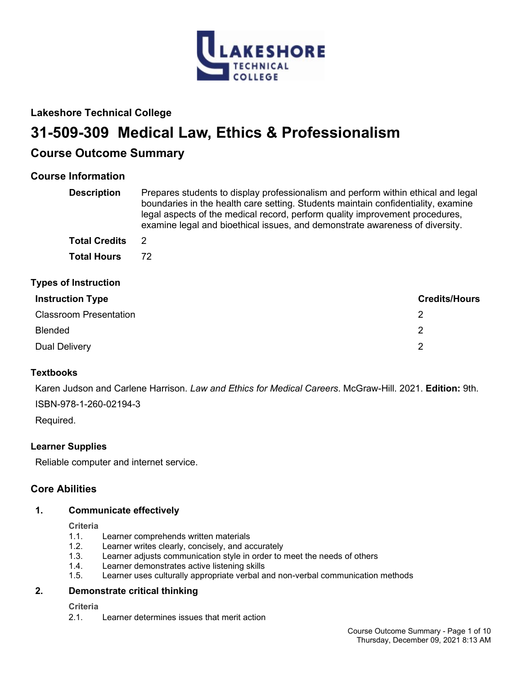

# **Lakeshore Technical College**

# **31-509-309 Medical Law, Ethics & Professionalism**

# **Course Outcome Summary**

# **Course Information**

| <b>Description</b>            | Prepares students to display professionalism and perform within ethical and legal<br>boundaries in the health care setting. Students maintain confidentiality, examine<br>legal aspects of the medical record, perform quality improvement procedures,<br>examine legal and bioethical issues, and demonstrate awareness of diversity. |                      |
|-------------------------------|----------------------------------------------------------------------------------------------------------------------------------------------------------------------------------------------------------------------------------------------------------------------------------------------------------------------------------------|----------------------|
| <b>Total Credits</b>          | -2                                                                                                                                                                                                                                                                                                                                     |                      |
| <b>Total Hours</b>            | 72                                                                                                                                                                                                                                                                                                                                     |                      |
| <b>Types of Instruction</b>   |                                                                                                                                                                                                                                                                                                                                        |                      |
| <b>Instruction Type</b>       |                                                                                                                                                                                                                                                                                                                                        | <b>Credits/Hours</b> |
| <b>Classroom Presentation</b> | 2                                                                                                                                                                                                                                                                                                                                      |                      |

| <u>UNUSTUUTEET LUSUTIMIUTE</u> |  |
|--------------------------------|--|
| Blended                        |  |
| Dual Delivery                  |  |

# **Textbooks**

Karen Judson and Carlene Harrison. *Law and Ethics for Medical Careers*. McGraw-Hill. 2021. **Edition:** 9th. ISBN-978-1-260-02194-3

Required.

# **Learner Supplies**

Reliable computer and internet service.

# **Core Abilities**

## **1. Communicate effectively**

**Criteria**

- 1.1. Learner comprehends written materials<br>1.2. Learner writes clearly, concisely, and a
- Learner writes clearly, concisely, and accurately
- 1.3. Learner adjusts communication style in order to meet the needs of others
- 1.4. Learner demonstrates active listening skills
- Learner uses culturally appropriate verbal and non-verbal communication methods

## **2. Demonstrate critical thinking**

**Criteria**

2.1. Learner determines issues that merit action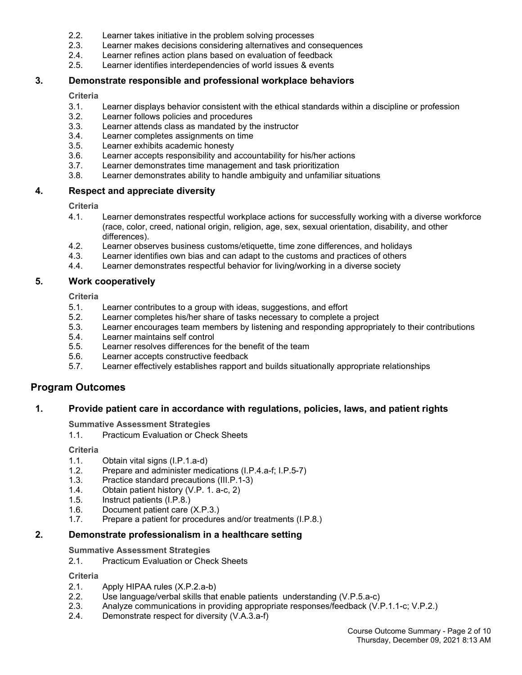- 2.2. Learner takes initiative in the problem solving processes
- 2.3. Learner makes decisions considering alternatives and consequences<br>2.4. Learner refines action plans based on evaluation of feedback
- 2.4. Learner refines action plans based on evaluation of feedback<br>2.5. Learner identifies interdependencies of world issues & events
- Learner identifies interdependencies of world issues & events

## **3. Demonstrate responsible and professional workplace behaviors**

**Criteria**

- 3.1. Learner displays behavior consistent with the ethical standards within a discipline or profession
- 3.2. Learner follows policies and procedures
- 3.3. Learner attends class as mandated by the instructor
- 3.4. Learner completes assignments on time<br>3.5. Learner exhibits academic honesty
- Learner exhibits academic honesty
- 3.6. Learner accepts responsibility and accountability for his/her actions<br>3.7. Learner demonstrates time management and task prioritization
- Learner demonstrates time management and task prioritization
- 3.8. Learner demonstrates ability to handle ambiguity and unfamiliar situations

## **4. Respect and appreciate diversity**

**Criteria**

- 4.1. Learner demonstrates respectful workplace actions for successfully working with a diverse workforce (race, color, creed, national origin, religion, age, sex, sexual orientation, disability, and other differences).
- 4.2. Learner observes business customs/etiquette, time zone differences, and holidays<br>4.3. Learner identifies own bias and can adapt to the customs and practices of others
- Learner identifies own bias and can adapt to the customs and practices of others
- 4.4. Learner demonstrates respectful behavior for living/working in a diverse society

## **5. Work cooperatively**

**Criteria**

- 5.1. Learner contributes to a group with ideas, suggestions, and effort
- 5.2. Learner completes his/her share of tasks necessary to complete a project
- 5.3. Learner encourages team members by listening and responding appropriately to their contributions
- Learner maintains self control
- 5.5. Learner resolves differences for the benefit of the team<br>5.6. Learner accepts constructive feedback
- 5.6. Learner accepts constructive feedback<br>5.7. Learner effectively establishes rapport a
- Learner effectively establishes rapport and builds situationally appropriate relationships

# **Program Outcomes**

## **1. Provide patient care in accordance with regulations, policies, laws, and patient rights**

**Summative Assessment Strategies**

1.1. Practicum Evaluation or Check Sheets

**Criteria**

- 1.1. Obtain vital signs (I.P.1.a-d)
- 1.2. Prepare and administer medications (I.P.4.a-f; I.P.5-7)
- 1.3. Practice standard precautions (III.P.1-3)<br>1.4. Obtain patient history (V.P. 1. a-c. 2)
- Obtain patient history (V.P. 1. a-c, 2)
- 1.5. Instruct patients (I.P.8.)<br>1.6. Document patient care
- 1.6. Document patient care (X.P.3.)<br>1.7. Prepare a patient for procedure
- Prepare a patient for procedures and/or treatments (I.P.8.)

## **2. Demonstrate professionalism in a healthcare setting**

**Summative Assessment Strategies**

2.1. Practicum Evaluation or Check Sheets

**Criteria**

- 2.1. Apply HIPAA rules (X.P.2.a-b)
- 2.2. Use language/verbal skills that enable patients understanding (V.P.5.a-c)<br>2.3. Analyze communications in providing appropriate responses/feedback (V.I
- 2.3. Analyze communications in providing appropriate responses/feedback (V.P.1.1-c; V.P.2.)<br>2.4. Demonstrate respect for diversity (V.A.3.a-f)
- Demonstrate respect for diversity (V.A.3.a-f)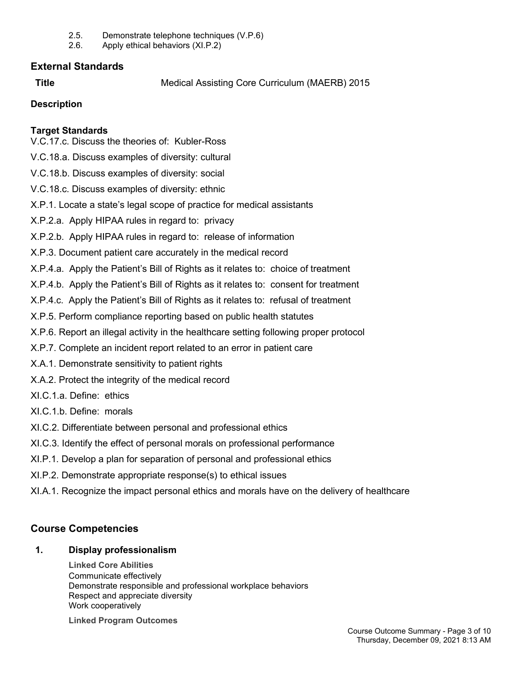- 2.5. Demonstrate telephone techniques (V.P.6)
- 2.6. Apply ethical behaviors (XI.P.2)

# **External Standards**

**Title** Medical Assisting Core Curriculum (MAERB) 2015

# **Description**

# **Target Standards**

V.C.17.c. Discuss the theories of: Kubler-Ross

- V.C.18.a. Discuss examples of diversity: cultural
- V.C.18.b. Discuss examples of diversity: social
- V.C.18.c. Discuss examples of diversity: ethnic
- X.P.1. Locate a state's legal scope of practice for medical assistants
- X.P.2.a. Apply HIPAA rules in regard to: privacy
- X.P.2.b. Apply HIPAA rules in regard to: release of information
- X.P.3. Document patient care accurately in the medical record
- X.P.4.a. Apply the Patient's Bill of Rights as it relates to: choice of treatment
- X.P.4.b. Apply the Patient's Bill of Rights as it relates to: consent for treatment
- X.P.4.c. Apply the Patient's Bill of Rights as it relates to: refusal of treatment
- X.P.5. Perform compliance reporting based on public health statutes
- X.P.6. Report an illegal activity in the healthcare setting following proper protocol
- X.P.7. Complete an incident report related to an error in patient care
- X.A.1. Demonstrate sensitivity to patient rights
- X.A.2. Protect the integrity of the medical record
- XI.C.1.a. Define: ethics
- XI.C.1.b. Define: morals
- XI.C.2. Differentiate between personal and professional ethics
- XI.C.3. Identify the effect of personal morals on professional performance
- XI.P.1. Develop a plan for separation of personal and professional ethics
- XI.P.2. Demonstrate appropriate response(s) to ethical issues
- XI.A.1. Recognize the impact personal ethics and morals have on the delivery of healthcare

# **Course Competencies**

# **1. Display professionalism**

**Linked Core Abilities** Communicate effectively Demonstrate responsible and professional workplace behaviors Respect and appreciate diversity Work cooperatively

**Linked Program Outcomes**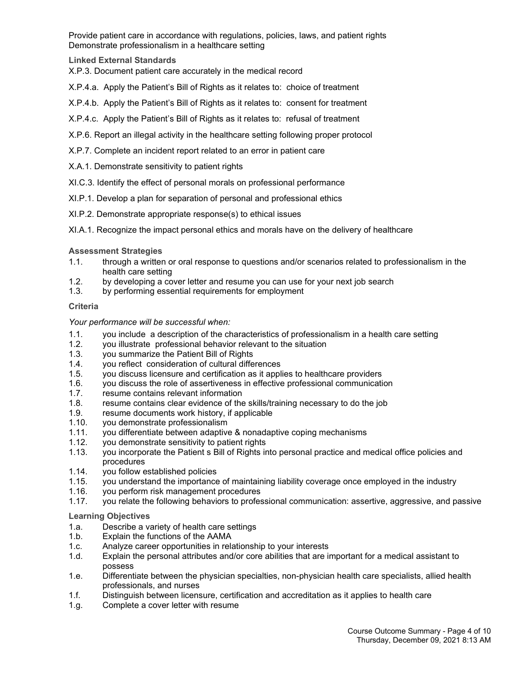Provide patient care in accordance with regulations, policies, laws, and patient rights Demonstrate professionalism in a healthcare setting

## **Linked External Standards**

X.P.3. Document patient care accurately in the medical record

- X.P.4.a. Apply the Patient's Bill of Rights as it relates to: choice of treatment
- X.P.4.b. Apply the Patient's Bill of Rights as it relates to: consent for treatment
- X.P.4.c. Apply the Patient's Bill of Rights as it relates to: refusal of treatment
- X.P.6. Report an illegal activity in the healthcare setting following proper protocol
- X.P.7. Complete an incident report related to an error in patient care
- X.A.1. Demonstrate sensitivity to patient rights
- XI.C.3. Identify the effect of personal morals on professional performance
- XI.P.1. Develop a plan for separation of personal and professional ethics
- XI.P.2. Demonstrate appropriate response(s) to ethical issues
- XI.A.1. Recognize the impact personal ethics and morals have on the delivery of healthcare

**Assessment Strategies**

- 1.1. through a written or oral response to questions and/or scenarios related to professionalism in the health care setting
- 1.2. by developing a cover letter and resume you can use for your next job search
- by performing essential requirements for employment

#### **Criteria**

*Your performance will be successful when:*

- 1.1. you include a description of the characteristics of professionalism in a health care setting
- 1.2. you illustrate professional behavior relevant to the situation
- 1.3. you summarize the Patient Bill of Rights
- 1.4. you reflect consideration of cultural differences
- 1.5. you discuss licensure and certification as it applies to healthcare providers
- 1.6. you discuss the role of assertiveness in effective professional communication
- 1.7. resume contains relevant information<br>1.8. resume contains clear evidence of the
- resume contains clear evidence of the skills/training necessary to do the job
- 1.9. resume documents work history, if applicable
- 1.10. you demonstrate professionalism
- 1.11. you differentiate between adaptive & nonadaptive coping mechanisms
- you demonstrate sensitivity to patient rights
- 1.13. you incorporate the Patient s Bill of Rights into personal practice and medical office policies and procedures
- 1.14. you follow established policies
- 1.15. you understand the importance of maintaining liability coverage once employed in the industry
- 1.16. you perform risk management procedures<br>1.17. you relate the following behaviors to profes
- you relate the following behaviors to professional communication: assertive, aggressive, and passive

**Learning Objectives**

- 1.a. Describe a variety of health care settings
- 1.b. Explain the functions of the AAMA
- 1.c. Analyze career opportunities in relationship to your interests
- 1.d. Explain the personal attributes and/or core abilities that are important for a medical assistant to possess
- 1.e. Differentiate between the physician specialties, non-physician health care specialists, allied health professionals, and nurses
- 1.f. Distinguish between licensure, certification and accreditation as it applies to health care
- 1.g. Complete a cover letter with resume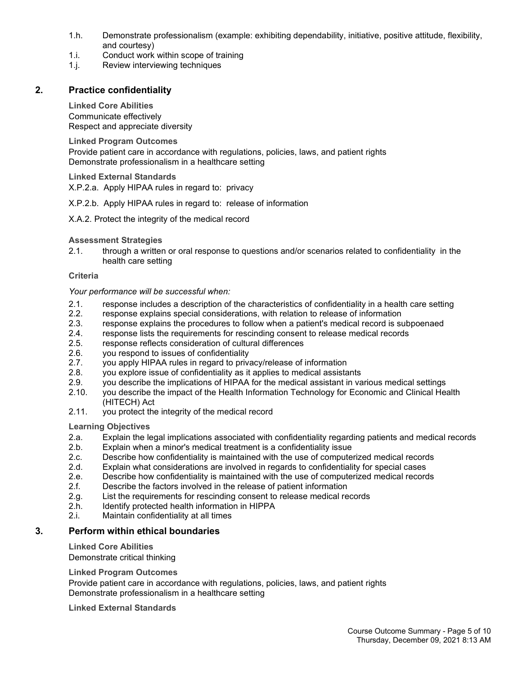- 1.h. Demonstrate professionalism (example: exhibiting dependability, initiative, positive attitude, flexibility, and courtesy)
- 1.i. Conduct work within scope of training
- 1.j. Review interviewing techniques

# **2. Practice confidentiality**

**Linked Core Abilities** Communicate effectively Respect and appreciate diversity

**Linked Program Outcomes**

Provide patient care in accordance with regulations, policies, laws, and patient rights Demonstrate professionalism in a healthcare setting

**Linked External Standards**

X.P.2.a. Apply HIPAA rules in regard to: privacy

## X.P.2.b. Apply HIPAA rules in regard to: release of information

X.A.2. Protect the integrity of the medical record

## **Assessment Strategies**

2.1. through a written or oral response to questions and/or scenarios related to confidentiality in the health care setting

## **Criteria**

## *Your performance will be successful when:*

- 2.1. response includes a description of the characteristics of confidentiality in a health care setting 2.2. response explains special considerations, with relation to release of information
- 2.2. response explains special considerations, with relation to release of information<br>2.3. response explains the procedures to follow when a patient's medical record is su
- 2.3. response explains the procedures to follow when a patient's medical record is subpoenaed<br>2.4. response lists the requirements for rescinding consent to release medical records
- 2.4. response lists the requirements for rescinding consent to release medical records<br>2.5. response reflects consideration of cultural differences
- response reflects consideration of cultural differences
- 2.6. you respond to issues of confidentiality<br>2.7. vou apply HIPAA rules in regard to prive
- 2.7. you apply HIPAA rules in regard to privacy/release of information<br>2.8. vou explore issue of confidentiality as it applies to medical assista
- you explore issue of confidentiality as it applies to medical assistants
- 2.9. you describe the implications of HIPAA for the medical assistant in various medical settings<br>2.10. you describe the impact of the Health Information Technology for Economic and Clinical Health
- you describe the impact of the Health Information Technology for Economic and Clinical Health (HITECH) Act
- 2.11. you protect the integrity of the medical record

**Learning Objectives**

- 2.a. Explain the legal implications associated with confidentiality regarding patients and medical records<br>2.b. Explain when a minor's medical treatment is a confidentiality issue
- Explain when a minor's medical treatment is a confidentiality issue
- 2.c. Describe how confidentiality is maintained with the use of computerized medical records
- 2.d. Explain what considerations are involved in regards to confidentiality for special cases
- 2.e. Describe how confidentiality is maintained with the use of computerized medical records
- 2.f. Describe the factors involved in the release of patient information
- 2.g. List the requirements for rescinding consent to release medical records<br>2.h. Identify protected health information in HIPPA
- Identify protected health information in HIPPA
- 2.i. Maintain confidentiality at all times

# **3. Perform within ethical boundaries**

# **Linked Core Abilities**

Demonstrate critical thinking

# **Linked Program Outcomes**

Provide patient care in accordance with regulations, policies, laws, and patient rights Demonstrate professionalism in a healthcare setting

**Linked External Standards**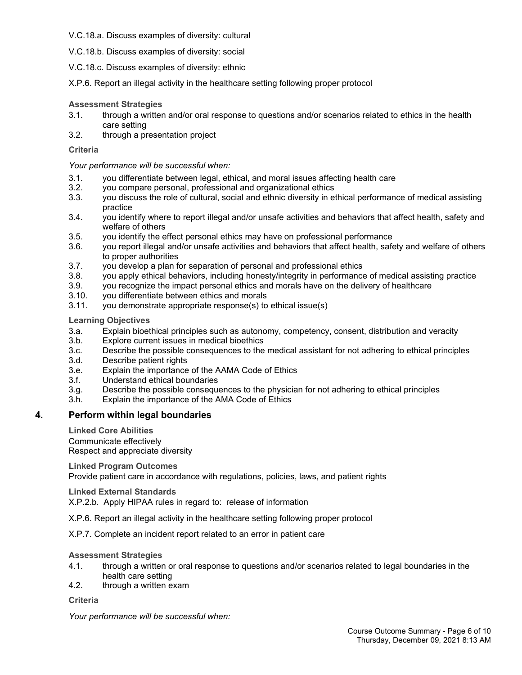#### V.C.18.a. Discuss examples of diversity: cultural

V.C.18.b. Discuss examples of diversity: social

V.C.18.c. Discuss examples of diversity: ethnic

X.P.6. Report an illegal activity in the healthcare setting following proper protocol

## **Assessment Strategies**

- 3.1. through a written and/or oral response to questions and/or scenarios related to ethics in the health care setting
- 3.2. through a presentation project

## **Criteria**

*Your performance will be successful when:*

- 3.1. you differentiate between legal, ethical, and moral issues affecting health care
- you compare personal, professional and organizational ethics
- 3.3. you discuss the role of cultural, social and ethnic diversity in ethical performance of medical assisting practice
- 3.4. you identify where to report illegal and/or unsafe activities and behaviors that affect health, safety and welfare of others
- 3.5. you identify the effect personal ethics may have on professional performance
- 3.6. you report illegal and/or unsafe activities and behaviors that affect health, safety and welfare of others to proper authorities
- 3.7. you develop a plan for separation of personal and professional ethics<br>3.8. vou apply ethical behaviors, including honesty/integrity in performance
- you apply ethical behaviors, including honesty/integrity in performance of medical assisting practice
- 3.9. you recognize the impact personal ethics and morals have on the delivery of healthcare
- 3.10. you differentiate between ethics and morals<br>3.11. you demonstrate appropriate response(s) to
- you demonstrate appropriate response(s) to ethical issue(s)

## **Learning Objectives**

- 3.a. Explain bioethical principles such as autonomy, competency, consent, distribution and veracity
- 3.b. Explore current issues in medical bioethics
- 3.c. Describe the possible consequences to the medical assistant for not adhering to ethical principles
- Describe patient rights
- 3.e. Explain the importance of the AAMA Code of Ethics
- 3.f. Understand ethical boundaries
- 3.g. Describe the possible consequences to the physician for not adhering to ethical principles
- 3.h. Explain the importance of the AMA Code of Ethics

## **4. Perform within legal boundaries**

**Linked Core Abilities**

Communicate effectively Respect and appreciate diversity

**Linked Program Outcomes**

Provide patient care in accordance with regulations, policies, laws, and patient rights

**Linked External Standards**

X.P.2.b. Apply HIPAA rules in regard to: release of information

X.P.6. Report an illegal activity in the healthcare setting following proper protocol

X.P.7. Complete an incident report related to an error in patient care

## **Assessment Strategies**

- 4.1. through a written or oral response to questions and/or scenarios related to legal boundaries in the health care setting
- 4.2. through a written exam

**Criteria**

*Your performance will be successful when:*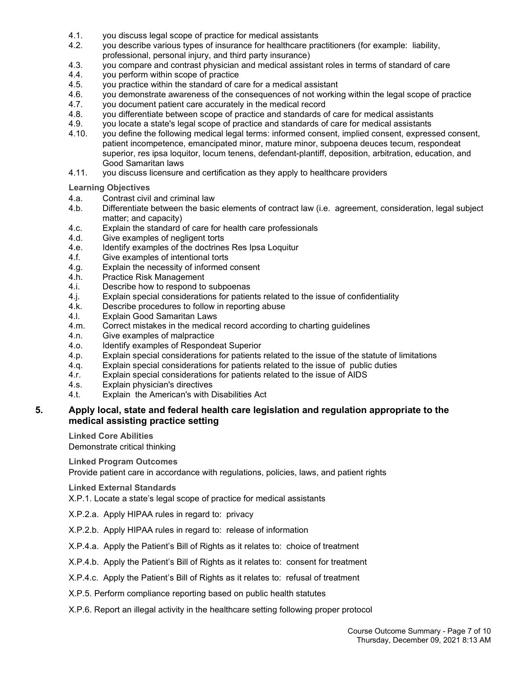- 4.1. you discuss legal scope of practice for medical assistants
- 4.2. you describe various types of insurance for healthcare practitioners (for example: liability, professional, personal injury, and third party insurance)
- 4.3. you compare and contrast physician and medical assistant roles in terms of standard of care
- 4.4. you perform within scope of practice<br>4.5. you practice within the standard of ca
- 4.5. you practice within the standard of care for a medical assistant<br>4.6. vou demonstrate awareness of the consequences of not workin
- you demonstrate awareness of the consequences of not working within the legal scope of practice
- 4.7. you document patient care accurately in the medical record 4.8. vou differentiate between scope of practice and standards of
- you differentiate between scope of practice and standards of care for medical assistants
- 4.9. you locate a state's legal scope of practice and standards of care for medical assistants
- 4.10. you define the following medical legal terms: informed consent, implied consent, expressed consent, patient incompetence, emancipated minor, mature minor, subpoena deuces tecum, respondeat superior, res ipsa loquitor, locum tenens, defendant-plantiff, deposition, arbitration, education, and Good Samaritan laws
- 4.11. you discuss licensure and certification as they apply to healthcare providers

**Learning Objectives**

- 4.a. Contrast civil and criminal law
- 4.b. Differentiate between the basic elements of contract law (i.e. agreement, consideration, legal subject matter; and capacity)
- 4.c. Explain the standard of care for health care professionals
- 4.d. Give examples of negligent torts
- 4.e. Identify examples of the doctrines Res Ipsa Loquitur<br>4.f. Give examples of intentional torts
- Give examples of intentional torts
- 4.g. Explain the necessity of informed consent
- 4.h. Practice Risk Management<br>4.i. Describe how to respond to
- Describe how to respond to subpoenas
- 4.j. Explain special considerations for patients related to the issue of confidentiality
- 4.k. Describe procedures to follow in reporting abuse<br>4.1 Explain Good Samaritan Laws
- **Explain Good Samaritan Laws**
- 4.m. Correct mistakes in the medical record according to charting guidelines
- 4.n. Give examples of malpractice<br>4.o. Identify examples of Responder
- Identify examples of Respondeat Superior
- 4.p. Explain special considerations for patients related to the issue of the statute of limitations
- 4.q. Explain special considerations for patients related to the issue of public duties 4.r. Explain special considerations for patients related to the issue of AIDS
- Explain special considerations for patients related to the issue of AIDS
- 4.s. Explain physician's directives
- 4.t. Explain the American's with Disabilities Act

## **5. Apply local, state and federal health care legislation and regulation appropriate to the medical assisting practice setting**

**Linked Core Abilities**

Demonstrate critical thinking

**Linked Program Outcomes**

Provide patient care in accordance with regulations, policies, laws, and patient rights

#### **Linked External Standards**

X.P.1. Locate a state's legal scope of practice for medical assistants

- X.P.2.a. Apply HIPAA rules in regard to: privacy
- X.P.2.b. Apply HIPAA rules in regard to: release of information
- X.P.4.a. Apply the Patient's Bill of Rights as it relates to: choice of treatment
- X.P.4.b. Apply the Patient's Bill of Rights as it relates to: consent for treatment
- X.P.4.c. Apply the Patient's Bill of Rights as it relates to: refusal of treatment
- X.P.5. Perform compliance reporting based on public health statutes
- X.P.6. Report an illegal activity in the healthcare setting following proper protocol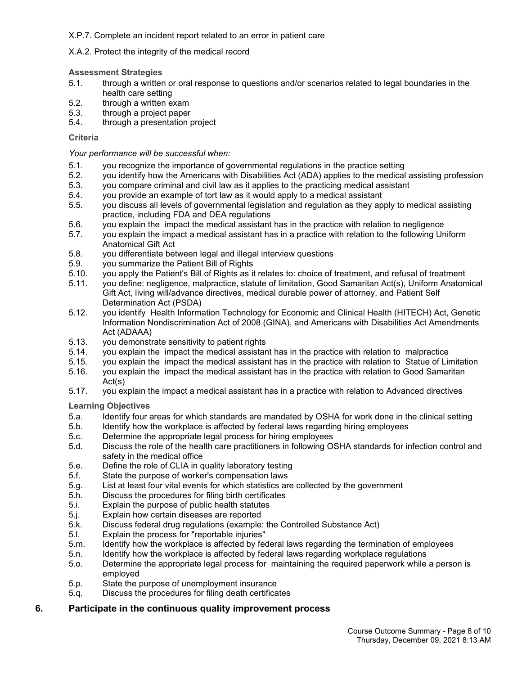## X.P.7. Complete an incident report related to an error in patient care

## X.A.2. Protect the integrity of the medical record

#### **Assessment Strategies**

- 5.1. through a written or oral response to questions and/or scenarios related to legal boundaries in the health care setting
- 5.2. through a written exam
- 5.3. through a project paper<br>5.4. through a presentation is
- through a presentation project

#### **Criteria**

## *Your performance will be successful when:*

- 5.1. you recognize the importance of governmental regulations in the practice setting<br>5.2. vou identify how the Americans with Disabilities Act (ADA) applies to the medical
- 5.2. you identify how the Americans with Disabilities Act (ADA) applies to the medical assisting profession
- 5.3. you compare criminal and civil law as it applies to the practicing medical assistant
- 5.4. you provide an example of tort law as it would apply to a medical assistant
- 5.5. you discuss all levels of governmental legislation and regulation as they apply to medical assisting practice, including FDA and DEA regulations
- 5.6. you explain the impact the medical assistant has in the practice with relation to negligence
- you explain the impact a medical assistant has in a practice with relation to the following Uniform Anatomical Gift Act
- 5.8. you differentiate between legal and illegal interview questions<br>5.9. vou summarize the Patient Bill of Rights
- 5.9. you summarize the Patient Bill of Rights<br>5.10. vou apply the Patient's Bill of Rights as it
- 5.10. you apply the Patient's Bill of Rights as it relates to: choice of treatment, and refusal of treatment
- 5.11. you define: negligence, malpractice, statute of limitation, Good Samaritan Act(s), Uniform Anatomical Gift Act, living will/advance directives, medical durable power of attorney, and Patient Self Determination Act (PSDA)
- 5.12. you identify Health Information Technology for Economic and Clinical Health (HITECH) Act, Genetic Information Nondiscrimination Act of 2008 (GINA), and Americans with Disabilities Act Amendments Act (ADAAA)
- 5.13. you demonstrate sensitivity to patient rights
- you explain the impact the medical assistant has in the practice with relation to malpractice
- 5.15. you explain the impact the medical assistant has in the practice with relation to Statue of Limitation 5.16. you explain the impact the medical assistant has in the practice with relation to Good Samaritan
- Act(s)
- 5.17. you explain the impact a medical assistant has in a practice with relation to Advanced directives

**Learning Objectives**

- 5.a. Identify four areas for which standards are mandated by OSHA for work done in the clinical setting<br>5.b. Identify how the workplace is affected by federal laws regarding hiring employees
- 5.b. Identify how the workplace is affected by federal laws regarding hiring employees 5.c. Determine the appropriate legal process for hiring employees
- Determine the appropriate legal process for hiring employees
- 5.d. Discuss the role of the health care practitioners in following OSHA standards for infection control and safety in the medical office
- 5.e. Define the role of CLIA in quality laboratory testing
- 5.f. State the purpose of worker's compensation laws
- 5.g. List at least four vital events for which statistics are collected by the government
- 5.h. Discuss the procedures for filing birth certificates
- 5.i. Explain the purpose of public health statutes
- 5.j. Explain how certain diseases are reported
- 5.k. Discuss federal drug regulations (example: the Controlled Substance Act)
- Explain the process for "reportable injuries"
- 5.m. Identify how the workplace is affected by federal laws regarding the termination of employees
- 5.n. Identify how the workplace is affected by federal laws regarding workplace regulations
- 5.o. Determine the appropriate legal process for maintaining the required paperwork while a person is employed
- 5.p. State the purpose of unemployment insurance
- 5.q. Discuss the procedures for filing death certificates

## **6. Participate in the continuous quality improvement process**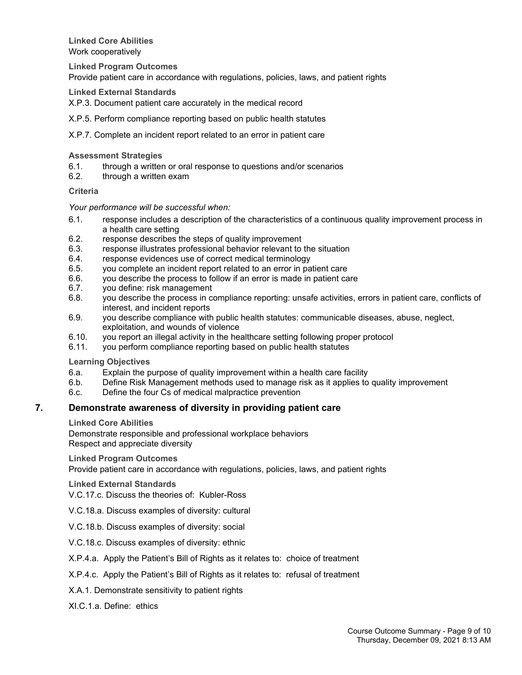**Linked Core Abilities** Work cooperatively

**Linked Program Outcomes**

Provide patient care in accordance with regulations, policies, laws, and patient rights

**Linked External Standards**

X.P.3. Document patient care accurately in the medical record

X.P.5. Perform compliance reporting based on public health statutes

X.P.7. Complete an incident report related to an error in patient care

#### **Assessment Strategies**

- 6.1. through a written or oral response to questions and/or scenarios  $6.2$  through a written exam
- through a written exam

#### **Criteria**

#### *Your performance will be successful when:*

- 6.1. response includes a description of the characteristics of a continuous quality improvement process in a health care setting
- 6.2. response describes the steps of quality improvement
- 6.3. response illustrates professional behavior relevant to the situation
- 6.4. response evidences use of correct medical terminology
- 6.5. you complete an incident report related to an error in patient care
- 6.6. you describe the process to follow if an error is made in patient care
- 6.7. you define: risk management
- 6.8. you describe the process in compliance reporting: unsafe activities, errors in patient care, conflicts of interest, and incident reports
- 6.9. you describe compliance with public health statutes: communicable diseases, abuse, neglect, exploitation, and wounds of violence
- 6.10. you report an illegal activity in the healthcare setting following proper protocol
- you perform compliance reporting based on public health statutes

#### **Learning Objectives**

- 6.a. Explain the purpose of quality improvement within a health care facility
- 6.b. Define Risk Management methods used to manage risk as it applies to quality improvement
- 6.c. Define the four Cs of medical malpractice prevention

#### **7. Demonstrate awareness of diversity in providing patient care**

#### **Linked Core Abilities**

Demonstrate responsible and professional workplace behaviors Respect and appreciate diversity

#### **Linked Program Outcomes**

Provide patient care in accordance with regulations, policies, laws, and patient rights

#### **Linked External Standards**

V.C.17.c. Discuss the theories of: Kubler-Ross

- V.C.18.a. Discuss examples of diversity: cultural
- V.C.18.b. Discuss examples of diversity: social
- V.C.18.c. Discuss examples of diversity: ethnic
- X.P.4.a. Apply the Patient's Bill of Rights as it relates to: choice of treatment
- X.P.4.c. Apply the Patient's Bill of Rights as it relates to: refusal of treatment
- X.A.1. Demonstrate sensitivity to patient rights
- XI.C.1.a. Define: ethics